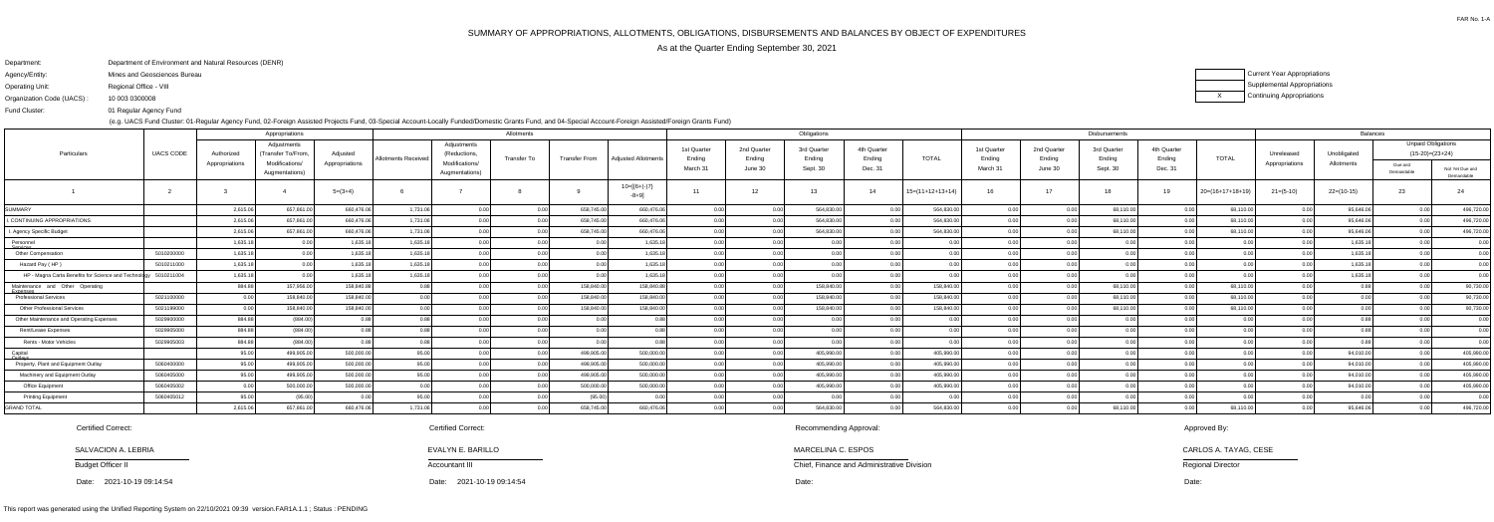# SUMMARY OF APPROPRIATIONS, ALLOTMENTS, OBLIGATIONS, DISBURSEMENTS AND BALANCES BY OBJECT OF EXPENDITURES

## ons ions

As at the Quarter Ending September 30, 2021

Fund Cluster:

Department:Agency/Entity:Department of Environment and Natural Resources (DENR)Mines and Geosciences Bureau

Operating Unit:Regional Office - VIII

Organization Code (UACS) : 10 003 0300008

01 Regular Agency Fund

(e.g. UACS Fund Cluster: 01-Regular Agency Fund, 02-Foreign Assisted Projects Fund, 03-Special Account-Locally Funded/Domestic Grants Fund, and 04-Special Account-Foreign Assisted/Foreign Grants Fund)

| Current Year Appropriation |
|----------------------------|
| Supplemental Appropriatio  |
| Continuing Appropriations  |

| Appropriations                                                  |                  |                              |                                                    |                            | Allotments                 |                                               |             |                      |                            |                                               | Obligations                      |                                   |                                  |                    |                                   | Disbursements                    |                                   | <b>Balances</b>                  |                  |                              |                           |                                                           |                 |
|-----------------------------------------------------------------|------------------|------------------------------|----------------------------------------------------|----------------------------|----------------------------|-----------------------------------------------|-------------|----------------------|----------------------------|-----------------------------------------------|----------------------------------|-----------------------------------|----------------------------------|--------------------|-----------------------------------|----------------------------------|-----------------------------------|----------------------------------|------------------|------------------------------|---------------------------|-----------------------------------------------------------|-----------------|
| Particulars                                                     | <b>UACS CODE</b> | Authorized<br>Appropriations | Adjustments<br>Transfer To/From,<br>Modifications/ | Adjusted<br>Appropriations | <b>Allotments Received</b> | Adjustments<br>(Reductions,<br>Modifications/ | Transfer To | <b>Transfer From</b> | <b>Adiusted Allotments</b> | 1st Quarter<br>Ending<br>March 3 <sup>-</sup> | 2nd Quarter<br>Ending<br>June 30 | 3rd Quarter<br>Ending<br>Sept. 30 | 4th Quarter<br>Ending<br>Dec. 31 | <b>TOTAL</b>       | 1st Quarter<br>Ending<br>March 31 | 2nd Quarter<br>Ending<br>June 30 | 3rd Quarter<br>Ending<br>Sept. 30 | 4th Quarter<br>Ending<br>Dec. 31 | <b>TOTAL</b>     | Unreleased<br>Appropriations | Unobligated<br>Allotments | <b>Unpaid Obligations</b><br>$(15-20)=(23+24)$<br>Due and | Not Yet Due and |
|                                                                 |                  |                              | Augmentations)                                     |                            |                            | Augmentations)                                |             |                      |                            |                                               |                                  |                                   |                                  |                    |                                   |                                  |                                   |                                  |                  |                              |                           | Demandable                                                | Demandable      |
|                                                                 |                  |                              |                                                    | $5=(3+4)$                  |                            |                                               |             |                      | $10=[6+(-)7]$<br>-8+9]     | 11                                            | 12                               | 13                                | 14                               | $15=(11+12+13+14)$ |                                   | 17                               | 18                                | 19                               | 20=(16+17+18+19) | $21=(5-10)$                  | $22=(10-15)$              | 23                                                        |                 |
| <b>SUMMARY</b>                                                  |                  | 2,615.06                     | 657,861.0                                          | 660,476.06                 | 1,731.06                   | 0.00                                          | 0.00        | 658,745.00           | 660,476.06                 | 0.00                                          | 0.00                             | 564,830.0                         |                                  | 564,830.00         | 0.00                              |                                  | 68,110.00                         |                                  | 68,110.00        |                              | 95,646.06                 | 0.00                                                      | 496,720.00      |
| I. CONTINUING APPROPRIATIONS                                    |                  | 2,615.06                     | 657,861.00                                         | 660,476.06                 | 1,731.06                   |                                               | 0.00        | 658,745.00           | 660,476.06                 |                                               | 0.00                             | 564,830.0                         |                                  | 564,830.00         | 0.00                              |                                  | 68,110.00                         |                                  | 68,110.00        |                              | 95,646.06                 | 0.00                                                      | 496,720.00      |
| I. Agency Specific Budget                                       |                  | 2,615.06                     | 657,861.00                                         | 660,476.06                 | 1,731.06                   |                                               |             | 658,745.0            | 660,476.06                 |                                               |                                  | 564,830.0                         |                                  | 564,830.00         | 0.00                              |                                  | 68,110.00                         |                                  | 68,110.00        |                              | 95,646.06                 | 0.00 <sub>1</sub>                                         | 496,720.00      |
| Personnel<br><del>iervices</del>                                |                  | 1,635.18                     |                                                    | 1,635.18                   | 1,635.18                   |                                               | 0.00        |                      | 1,635.18                   |                                               | 0.00                             |                                   |                                  | 0.00               | 0.00                              |                                  | 0.0                               |                                  | 0.00             |                              | 1,635.18                  | 0. QQ                                                     | 0.00            |
| <b>Other Compensation</b>                                       | 5010200000       | 1,635.18                     |                                                    | 1,635.18                   | 1,635.18                   |                                               | n nn l      |                      | 1,635.18                   | 0.00 <sup>1</sup>                             | 0.00                             |                                   | 0.00                             | 0.001              | 0.00                              |                                  | 0.00                              |                                  | 0.00             |                              | 1,635.18                  | 0.00                                                      | 0.00            |
| Hazard Pay (HP)                                                 | 5010211000       | 1,635.18                     | 0.00                                               | 1,635.18                   | 1,635.18                   | 0.00 <sub>l</sub>                             | 0.001       |                      | 1,635.18                   | 0.00                                          | 0.00                             |                                   | 0.00                             | 0.00               | 0.00                              |                                  | 0.00                              |                                  | 0.00             |                              | 1,635.18                  | 0.00                                                      | 0.00            |
| HP - Magna Carta Benefits for Science and Technology 5010211004 |                  | 1,635.18                     | 0.00                                               | 1,635.18                   | 1,635.18                   | 0.00                                          | 0.001       |                      | 1,635.18                   | 0.00 <sub>1</sub>                             | 0.00                             | 0 <sub>0</sub>                    | 0.00                             | 0.001              | 0.00                              |                                  | 0.00                              | 0.00                             | 0.00             |                              | 1,635.18                  | 0.00                                                      | 0.00            |
| Maintenance and Other Operating<br><del>Expenses</del>          |                  | 884.88                       | 157,956.00                                         | 158,840.8                  |                            |                                               | n nn        | 158,840.00           | 158,840.88                 | 0.00 <sub>1</sub>                             | 0.00                             | 158,840.0                         | 0.00                             | 158,840.00         | 0.00                              |                                  | 68,110.00                         | 0.00                             | 68,110.00        | 0.00                         |                           | 0.00                                                      | 90,730.00       |
| Professional Services                                           | 5021100000       |                              | 158,840.00                                         | 158,840.00                 |                            | 0.00                                          | 0.00        | 158,840.0            | 158,840.00                 | 0.00                                          | 0.00                             | 158,840.0                         | 0.00                             | 158,840.00         | 0.00                              |                                  | 68,110.00                         |                                  | 68,110.00        | 0.00                         |                           | 0.00                                                      | 90,730.00       |
| <b>Other Professional Services</b>                              | 5021199000       |                              | 158,840.00                                         | 158,840.00                 |                            |                                               | n nn        | 158,840.0            | 158,840.00                 | 0.00                                          |                                  | 158,840.0                         |                                  | 158,840.00         | 0.00                              |                                  | 68,110.00                         |                                  | 68,110.00        |                              |                           |                                                           | 90,730.00       |
| Other Maintenance and Operating Expenses                        | 5029900000       | 884.88                       | (884.00)                                           |                            |                            |                                               | ስ ስስ        |                      |                            |                                               | 0.00                             |                                   |                                  |                    | 0.00                              |                                  | 0.0                               |                                  | 0.00             |                              |                           |                                                           | 0.00            |
| Rent/Lease Expenses                                             | 5029905000       | 884.88                       | (884.00)                                           |                            |                            |                                               |             |                      |                            |                                               |                                  |                                   |                                  |                    |                                   |                                  |                                   |                                  | 0.00             |                              |                           |                                                           | 0.00            |
| Rents - Motor Vehicles                                          | 5029905003       | 884.88                       | (884.00)                                           |                            |                            |                                               | 0.00        |                      | 0.88                       |                                               | 0.00                             |                                   | n nr                             | 0.00               | 0.00                              |                                  |                                   |                                  | 0.00             |                              |                           | 0.00                                                      | 0.00            |
| Capital                                                         |                  | 95.00                        | 499,905.00                                         | 500,000.00                 | 95.00                      |                                               | 0.00        | 499,905.00           | 500,000.00                 | 0.00 <sup>1</sup>                             | 0.00                             | 405,990.0                         | 0.00                             | 405,990.00         | 0.00                              |                                  |                                   |                                  | 0.00             |                              | 94,010.00                 | 0.00                                                      | 405,990.00      |
| Property, Plant and Equipment Outlay                            | 5060400000       | 95.00                        | 499,905.00                                         | 500,000.00                 | 95.00                      |                                               |             | 499,905.00           | 500,000.00                 |                                               |                                  | 405,990.0                         |                                  | 405,990.00         | 0.00                              |                                  | 0 <sub>0</sub>                    |                                  | n nr             |                              | 94,010.00                 | 0.00                                                      | 405,990.00      |
| Machinery and Equipment Outlay                                  | 5060405000       | 95.00                        | 499,905.00                                         | 500,000.00                 | 95.00                      |                                               |             | 499,905.0            | 500,000.00                 |                                               |                                  | 405,990.0                         | 0.OC                             | 405,990.00         | 0.00                              |                                  | . 0 0 C                           |                                  | n nr             |                              | 94,010.00                 | 0.00                                                      | 405,990.00      |
| Office Equipment                                                | 5060405002       |                              | 500,000.00                                         | 500,000.00                 |                            |                                               |             | 500,000.00           | 500,000.00                 |                                               |                                  | 405,990.0                         |                                  | 405,990.00         | 0.00                              |                                  | 0.0(                              |                                  |                  |                              | 94,010.00                 | 0.00                                                      | 405,990.00      |
| <b>Printing Equipment</b>                                       | 5060405012       | 95.00                        | (95.00)                                            |                            | 95.00                      | 0.00                                          | 0.00        | (95.00)              | 0.00                       | 0.00                                          | n nr                             |                                   | 0.00                             | 0.00               | 0.00                              |                                  | 0.00                              |                                  | 0.00             |                              | 0.00                      | 0.00                                                      | 0.00            |
| <b>GRAND TOTAL</b>                                              |                  | 2,615.06                     | 657,861.00                                         | 660,476.06                 | 1,731.06                   |                                               |             | 658,745.00           | 660,476.06                 |                                               |                                  | 564,830.0                         |                                  | 564,830.00         |                                   |                                  | 68,110.00                         |                                  | 68,110.00        |                              | 95,646.06                 | 0.00                                                      | 496,720.00      |

SALVACION A. LEBRIA

Budget Officer II

Date: 2021-10-19 09:14:54

Certified Correct:

Chief, Finance and Administrative Division

MARCELINA C. ESPOS

Recommending Approval:

Approved By:

CARLOS A. TAYAG, CESE

Regional Director

Certified Correct:

 Date: Date: Date:2021-10-19 09:14:54

Accountant III

EVALYN E. BARILLO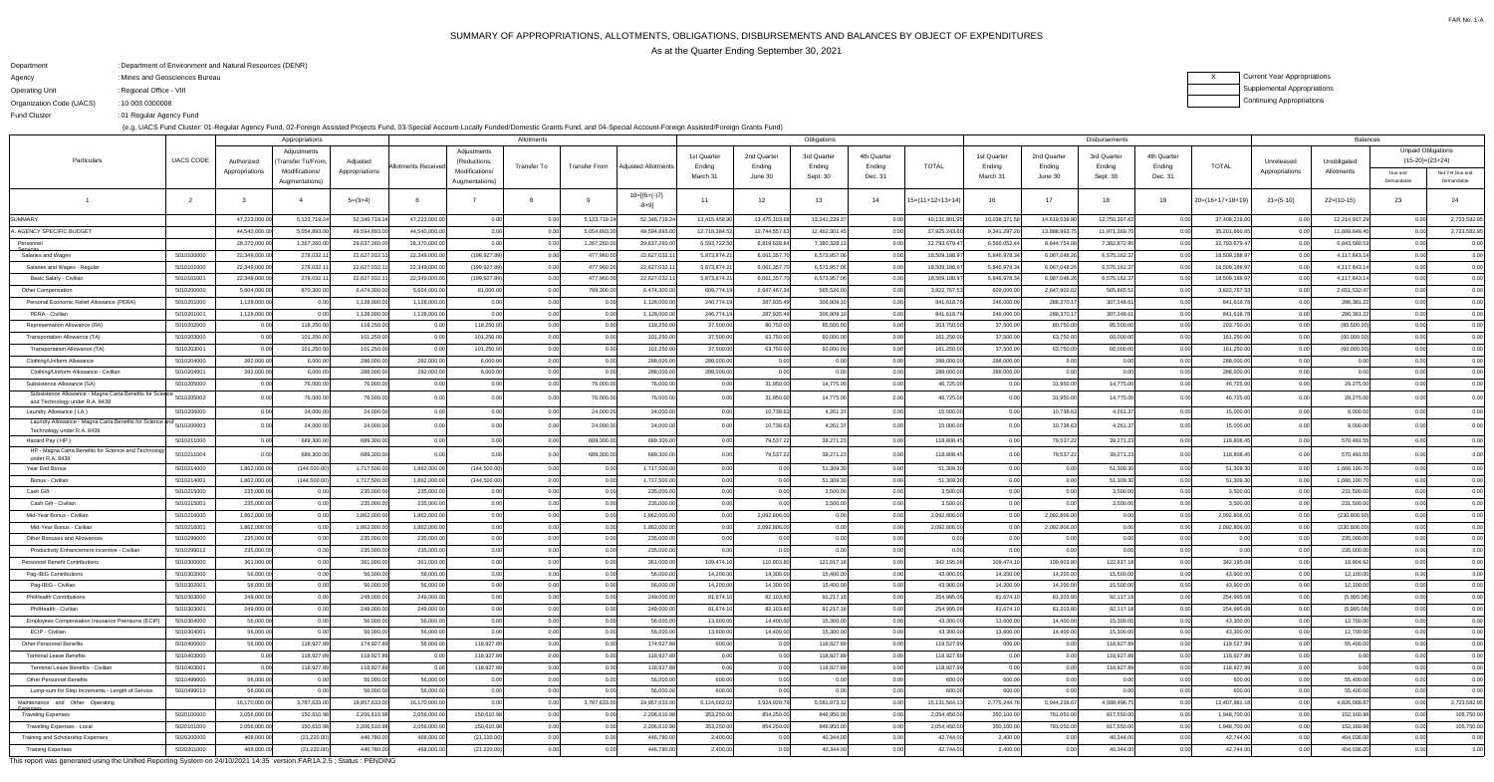## SUMMARY OF APPROPRIATIONS, ALLOTMENTS, OBLIGATIONS, DISBURSEMENTS AND BALANCES BY OBJECT OF EXPENDITURESAs at the Quarter Ending September 30, 2021

FAR No. 1-A

### $X$ Current Year Appropriations Supplemental AppropriationsContinuing Appropriations

| Department               | : Department of Environment and Natural Resources (DENR) |
|--------------------------|----------------------------------------------------------|
| Agency                   | : Mines and Geosciences Bureau                           |
| Operating Unit           | : Regional Office - VIII                                 |
| Organization Code (UACS) | : 10 003 0300008                                         |
| <b>Fund Cluster</b>      | :01 Regular Agency Fund                                  |

(e.g. UACS Fund Cluster: 01-Regular Agency Fund, 02-Foreign Assisted Projects Fund, 03-Special Account-Locally Funded/Domestic Grants Fund, and 04-Special Account-Foreign Assisted/Foreign Grants Fund)

| Appropriations                                                          |                  |                |                  |                |                     |                | Allotments  |                      |                            | Obligations   |               |                 |             | <b>Disbursements</b> |              |              |               |             |                    | <b>Balances</b> |               |                           |                 |
|-------------------------------------------------------------------------|------------------|----------------|------------------|----------------|---------------------|----------------|-------------|----------------------|----------------------------|---------------|---------------|-----------------|-------------|----------------------|--------------|--------------|---------------|-------------|--------------------|-----------------|---------------|---------------------------|-----------------|
|                                                                         |                  |                | Adjustments      |                |                     | Adjustments    |             |                      |                            | 1st Quarter   | 2nd Quarter   | 3rd Quarter     | 4th Quarter |                      | 1st Quarter  | 2nd Quarter  | 3rd Quarter   | 4th Quarter |                    |                 |               | <b>Unpaid Obligations</b> |                 |
| Particulars                                                             | <b>UACS CODE</b> | Authorized     | Transfer To/From | Adjusted       | Allotments Received | (Reductions    | Transfer To | <b>Transfer From</b> | <b>Adiusted Allotments</b> | Ending        | Ending        | Ending          | Ending      | <b>TOTAL</b>         | Ending       | Ending       | Ending        | Ending      | <b>TOTAL</b>       | Unreleased      | Unobligated   | $(15-20)=(23+24)$         |                 |
|                                                                         |                  | Appropriations | Modifications/   | Appropriations |                     | Modifications/ |             |                      |                            | March 31      | June 30       | Sept. 30        | Dec. 31     |                      | March 3      | June 30      | Sept. 30      | Dec. 31     |                    | Appropriations  | Allotments    | Due and                   | Not Yet Due and |
|                                                                         |                  |                | Augmentations)   |                |                     | Augmentations) |             |                      |                            |               |               |                 |             |                      |              |              |               |             |                    |                 |               | Demandable                | Demandable      |
|                                                                         |                  |                |                  | $5=(3+4)$      |                     |                |             |                      | $10=[6+(-)7]$<br>-8+9]     | 11            | 12            | 13 <sup>1</sup> | 14          | $15=(11+12+13+14)$   | 16           | 17           | <b>18</b>     | 19          | $20=(16+17+18+19)$ | $21=(5-10)$     | $22=(10-15)$  | 23                        | 24              |
| SUMMARY                                                                 |                  | 47,223,000.0   | 5,123,719.2      | 52,346,719.24  | 47,223,000.00       | 0.00           | 0.00        | 5,123,719.24         | 52,346,719.2               | 13,415,458.9  | 13,475,103.6  | 13,241,239.37   |             | 40,131,801.9         | 10,038,371.5 | 14,619,539.8 | 12,750,307.62 | 0.00        | 37,408,219.00      | 0.0             | 12,214,917.29 | 0.00                      | 2,723,582.95    |
| . AGENCY SPECIFIC BUDGET                                                |                  | 44,540,000.0   | 5,054,893.0      | 49,594,893.00  | 44,540,000.00       | 0.00           | 0.00        | 5,054,893.00         | 49,594,893.00              | 12,718,384.52 | 12,744,557.63 | 12,462,301.45   | 0.00        | 37,925,243.60        | 9,341,297.20 | 13,888,993.  | 11,971,369.70 | 0.00        | 35,201,660.65      | 0.00            | 11,669,649.40 | 0.00                      | 2,723,582.95    |
| Personnel<br><del>Services</del>                                        |                  | 28,370,000.0   | 1,267,260.0      | 29,637,260.0   | 28,370,000.00       | 0.00           |             | 1,267,260.00         | 29,637,260.0               | 6,593,722.5   | 8,819,628.8   | 7,380,328.1     |             | 22,793,679.4         | 6,566,052.4  | 8,844,754.0  | 7,382,872.95  | 0.00        | 22,793,679.47      | 0.0             | 6,843,580.53  |                           | 0.00            |
| Salaries and Wages                                                      | 5010100000       | 22,349,000.0   | 278,032.1        | 22,627,032.1   | 22,349,000.00       | (199, 927.89)  | 0.00        | 477,960.00           | 22,627,032.1               | 5,873,874.2   | 6,061,357.7   | 6,573,957.06    |             | 18,509,188.97        | 5,846,978.34 | 6,087,048.2  | 6,575,162.37  | 0.00        | 18,509,188.97      | 0.00            | 4,117,843.1   |                           | 0.00            |
| Salaries and Wages - Regular                                            | 5010101000       | 22,349,000.0   | 278,032.1        | 22,627,032.1   | 22,349,000.0        | (199, 927.89)  | 0.00        | 477,960.00           | 22,627,032.                | 5,873,874.2   | 6,061,357.    | 6,573,957.06    |             | 18,509,188.9         | 5,846,978.34 | 6,087,048.2  | 6,575,162.37  | 0.00        | 18,509,188.97      | 0.0             | 4,117,843.1   |                           | 0.00            |
| Basic Salary - Civiliar                                                 | 5010101001       | 22,349,000.00  | 278,032.1        | 22,627,032.1   | 22,349,000.00       | (199, 927.89)  | 0.00        | 477,960.00           | 22,627,032.1               | 5,873,874.2   | 6,061,357.7   | 6,573,957.06    | 0.00        | 18,509,188.97        | 5,846,978.34 | 6,087,048.2  | 6,575,162.37  | 0.00        | 18,509,188.97      | 0.00            | 4,117,843.14  |                           | 0.00            |
| Other Compensation                                                      | 5010200000       | 5,604,000.0    | 870,300.0        | 6,474,300.0    | 5,604,000.0         | 81,000.00      |             | 789,300.00           | 6,474,300.0                | 609,774.      | 2,647,467.3   | 565,526.00      |             | 3,822,767.5          | 609,000.0    | 2,647,902.   | 565,865.5     | 0.00        | 3,822,767.53       | 0.0             | 2,651,532.47  |                           | 0.00            |
| Personal Economic Relief Allowance (PERA)                               | 5010201000       | 1,128,000.00   | 0.00             | 1,128,000.00   | 1,128,000.00        | 0.00           | 0.00        | 0.00                 | 1,128,000.00               | 246,774.1     | 287,935.49    | 306,909.10      | 0.00        | 841,618.78           | 246,000.00   | 288,370.1    | 307,248.61    | 0.00        | 841,618.78         | 0.00            | 286,381.22    |                           | 0.00            |
| PERA - Civilian                                                         | 5010201001       | 1,128,000.00   |                  | 1,128,000.0    | 1,128,000.00        | 0.00           |             |                      | 1,128,000.0                | 246,774.1     | 287,935.4     | 306,909.1       |             | 841,618.7            | 246,000.0    | 288,370.     | 307,248.61    | 0.00        | 841,618.78         |                 | 286,381.2     |                           | 0.00            |
| Representation Allowance (RA)                                           | 5010202000       |                | 118,250.00       | 118,250.00     | 0.00                | 118,250.00     | 0.00        |                      | 118,250.00                 | 37,500.00     | 80,750.00     | 85,500.00       | 0.00        | 203,750.00           | 37,500.00    | 80,750.0     | 85,500.00     | 0.00        | 203,750.00         | 0.00            | (85,500.00)   |                           | 0.00            |
| Transportation Allowance (TA)                                           | 5010203000       |                | 101,250.0        | 101,250.00     |                     | 101,250.00     | 0.00        | 0.00                 | 101,250.00                 | 37,500.0      | 63,750.00     | 60,000.00       |             | 161,250.00           | 37,500.00    | 63,750.0     | 60,000.00     | 0.00        | 161,250.00         |                 | (60,000.00)   |                           | 0.00            |
| Transportation Allowance (TA)                                           | 5010203001       | n or           | 101,250.00       | 101,250.00     | 0.00                | 101,250.00     | 0.00        | 0.00                 | 101,250.00                 | 37,500.00     | 63,750.00     | 60,000.00       |             | 161,250.00           | 37,500.00    | 63,750.0     | 60,000.00     | 0.00        | 161,250.00         | 0.00            | (60,000.00)   |                           | 0.00            |
| Clothing/Uniform Allowance                                              | 5010204000       | 282,000.0      | 6,000.0          | 288,000.0      | 282,000.00          | 6,000.00       |             |                      | 288,000.0                  | 288,000.0     |               | 0.00            |             | 288,000.00           | 288,000.00   | 0.0          | 0.00          |             | 288,000.00         | 0.00            |               |                           | 0.00            |
| Clothing/Uniform Allowance - Civilian                                   | 5010204001       | 282,000.00     | 6,000.00         | 288,000.00     | 282,000.00          | 6,000.00       | 0.00        |                      | 288,000.00                 | 288,000.00    |               | 0.00            |             | 288,000.00           | 288,000.00   | 00           | 0.00          |             | 288,000.00         | 0.00            |               |                           | 0.00            |
| Subsistence Allowance (SA)                                              | 5010205000       |                | 76,000.0         | 76,000.00      |                     | 0.0            |             | 76,000.00            | 76,000.00                  | 0.00          | 31,950.00     | 14,775.00       |             | 46,725.00            |              | 31,950.0     | 14,775.00     |             | 46,725.00          | 0.0             | 29,275.00     |                           | 0.00            |
| Subsistence Allowance - Magna Carta Benefits for Science                | 5010205002       |                | 76,000.0         | 76,000.00      |                     | 0.00           | 0.00        | 76,000.00            | 76,000.00                  | 0.00          | 31,950.00     | 14,775.00       |             | 46,725.00            |              | 31,950.0     | 14,775.00     | 0.00        | 46,725.00          | 0.00            | 29,275.00     |                           | 0.00            |
| and Technology under R.A. 8439<br>Laundry Allowance (LA)                | 5010206000       |                | 24,000.0         | 24,000.00      |                     |                |             | 24,000.00            | 24,000.00                  | 0.00          | 10,738.63     | 4,261.3         |             | 15,000.0             |              | 10,738.6     | 4,261.37      |             | 15,000.00          |                 | 9,000.00      |                           | 0.00            |
| Laundry Allowance - Magna Carta Benefits for Science and                |                  |                |                  |                |                     |                |             |                      |                            |               |               |                 |             |                      |              |              |               |             |                    |                 |               |                           |                 |
| Technology under R.A. 8439                                              | 5010206003       |                | 24,000.0         | 24,000.00      |                     |                | 0.00        | 24,000.00            | 24,000.00                  | 0.00          | 10,738.63     | 4,261.37        |             | 15,000.00            |              | 10,738.6     | 4,261.37      | 0.00        | 15,000.00          | 0.00            | 9,000.00      |                           | 0.00            |
| Hazard Pay (HP                                                          | 5010211000       |                | 689,300.0        | 689,300.00     | 0.00                | 0.00           |             | 689,300.0            | 689,300.00                 | 0.00          | 79,537.22     | 39,271.23       |             | 118,808.4            |              | 79,537.2     | 39,271.23     | 0.O         | 118,808.45         | 0.0             | 570,491.5     |                           | 0.00            |
| HP - Magna Carta Benefits for Science and Technology<br>under R.A. 8439 | 5010211004       |                | 689,300.0        | 689,300.00     |                     |                |             | 689,300.00           | 689,300.00                 | 0.00          | 79,537.22     | 39,271.23       |             | 118,808.4            |              | 79,537.2     | 39,271.23     | 0.00        | 118,808.45         |                 | 570,491.5     |                           | 0.00            |
| Year End Bonus                                                          | 5010214000       | 1,862,000.0    | (144, 500.00)    | 1,717,500.00   | 1,862,000.00        | (144, 500.00)  |             |                      | 1,717,500.0                | 0.00          |               | 51,309.30       |             | 51,309.30            |              |              | 51,309.30     |             | 51,309.30          |                 | 1,666,190.7   |                           | 0.00            |
| Bonus - Civilian                                                        | 5010214001       | 1,862,000.00   | (144, 500.00)    | 1,717,500.00   | 00.000.00.          | (144, 500.00)  | 0.00        |                      | 1.717.500.0                | $\Omega$ 00   |               | 51,309.30       |             | 51.309.30            |              |              | 51.309.30     |             | 51.309.30          |                 | 1.666.190.7   |                           |                 |
| Cash Gift                                                               | 5010215000       | 235,000.00     | 0.00             | 235,000.00     | 235,000.00          | 0.00           | 0.00        | 0.00                 | 235,000.00                 | 0.00          | 0.00          | 3,500.00        | 0.00        | 3,500.00             |              | 00           | 3,500.00      | 0.00        | 3,500.00           | 0.00            | 231,500.00    | 0.00                      | 0.00            |
| Cash Gift - Civilian                                                    | 5010215001       | 235,000.00     | 0.00             | 235,000.00     | 235,000.00          | 0.00           | 0.00        | 0.00                 | 235,000.00                 | 0.00          |               | 3,500.00        |             | 3,500.00             |              |              | 3,500.00      | 0.00        | 3,500.00           | 0.00            | 231,500.00    |                           | 0.00            |
| Mid-Year Bonus - Civilian                                               | 5010216000       | 1,862,000.00   | 0.00             | 1,862,000.00   | 1,862,000.00        | 0.00           | 0.00        | 0.00                 | 1,862,000.00               | 0.00          | 2,092,806.00  | 0.00            |             | 2,092,806.00         |              | 2,092,806.0  | 0.00          | 0.00        | 2,092,806.00       | 0.00            | (230, 806.00) | 0.00                      | 0.00            |
| Mid-Year Bonus - Civilian                                               | 5010216001       | 1,862,000.00   | 0.00             | 1,862,000.00   | 1,862,000.00        | 0.00           | 0.00        | 0.00                 | 1,862,000.00               | 0.00          | 2,092,806.00  | 0.00            |             | 2,092,806.00         |              | 2,092,806.0  | 0.00          | 0.00        | 2,092,806.00       | 0.00            | (230, 806.00) |                           | 0.00            |
| Other Bonuses and Allowances                                            | 5010299000       | 235,000.00     | 0.00             | 235,000.00     | 235,000.00          | 0.00           | 0.00        | 0.00                 | 235,000.00                 | 0.00          | 0.00          | 0.00            |             |                      |              | 00           | 0.00          | 0.00        | 0.00               | 0.00            | 235,000.00    | 0.00                      | 0.00            |
| Productivity Enhancement Incentive - Civilian                           | 5010299012       | 235,000.00     | 0.00             | 235,000.00     | 235,000.00          | 0.00           | 0.00        | 0.00                 | 235,000.00                 | 0.00          | 0.00          | 0.00            | 0.00        | 0.00                 |              | 0 O          | 0.00          | 0.00        | 0.00               | 0.00            | 235,000.00    |                           | 0.00            |
| <b>Personnel Benefit Contributions</b>                                  | 5010300000       | 361,000.00     | 0.00             | 361,000.00     | 361,000.00          | 0.00           | 0.00        | 0.00                 | 361,000.00                 | 109,474.10    | 110,803.80    | 121,917.18      | 0.00        | 342,195.08           | 109,474.10   | 109,803.80   | 122,917.18    | 0.00        | 342,195.08         | 0.00            | 18,804.92     | 0.00                      | 0.00            |
| Pag-IBIG Contributions                                                  | 5010302000       | 56,000.00      | 0.00             | 56,000.00      | 56,000.00           | 0.00           | 0.00        | 0.00                 | 56,000.00                  | 14,200.00     | 14,300.00     | 15,400.00       | 0.00        | 43,900.00            | 14,200.00    | 14,200.0     | 15,500.00     | 0.00        | 43,900.00          | 0.00            | 12,100.00     | 0.00                      | 0.00            |
| Pag-IBIG - Civilian                                                     | 5010302001       | 56,000.00      | 0.00             | 56,000.00      | 56,000.00           | 0.00           | 0.00        | 0.00                 | 56,000.00                  | 14,200.00     | 14,300.00     | 15,400.00       | 0.00        | 43,900.00            | 14,200.00    | 14,200.0     | 15,500.00     | 0.00        | 43,900.00          | 0.00            | 12,100.00     | 0.00                      | 0.00            |
| <b>PhilHealth Contributions</b>                                         | 5010303000       | 249,000.00     | 0.00             | 249,000.00     | 249,000.00          | 0.00           | 0.00        | 0.00                 | 249,000.00                 | 81,674.10     | 82,103.80     | 91,217.18       |             | 254,995.08           | 81,674.10    | 81,203.80    | 92,117.18     | 0.00        | 254,995.08         | 0.00            | (5,995.08)    |                           | 0.00            |
| PhilHealth - Civilian                                                   | 5010303001       | 249,000.00     | 0.00             | 249,000.00     | 249,000.00          | 0.00           | 0.00        | 0.00                 | 249,000.00                 | 81,674.10     | 82,103.80     | 91,217.18       | 0.00        | 254,995.08           | 81,674.10    | 81,203.80    | 92,117.18     | 0.00        | 254,995.08         | 0.00            | (5,995.08)    | 0.00                      | 0.00            |
| Employees Compensation Insurance Premiums (ECIP)                        | 5010304000       | 56,000.00      | 0.00             | 56,000.00      | 56,000.00           | 0.00           | 0.00        | 0.00                 | 56,000.00                  | 13,600.00     | 14,400.00     | 15,300.00       | 0.00        | 43,300.00            | 13,600.00    | 14,400.0     | 15,300.00     | 0.00        | 43,300.00          | 0.00            | 12,700.00     | 0.00                      | 0.00            |
| ECIP - Civilian                                                         | 5010304001       | 56,000.00      | 0.00             | 56,000.00      | 56,000.00           | 0.00           | 0.00        | 0.00                 | 56,000.00                  | 13,600.00     | 14,400.00     | 15,300.00       | 0.00        | 43,300.00            | 13,600.00    | 14,400.00    | 15,300.00     | 0.00        | 43,300.00          | 0.00            | 12,700.00     | 0.00                      | 0.00            |
| <b>Other Personnel Benefits</b>                                         | 5010400000       | 56,000.00      | 118,927.89       | 174,927.89     | 56,000.00           | 118,927.89     | 0.00        | 0.00                 | 174,927.89                 | 600.00        | 0.00          | 118,927.89      | 0.00        | 119,527.89           | 600.00       | 0.0          | 118,927.89    | 0.00        | 119,527.89         | 0.00            | 55,400.00     |                           | 0.00            |
| <b>Terminal Leave Benefits</b>                                          | 5010403000       |                | 118,927.89       | 118,927.89     | 0.00                | 118,927.89     | 0.00        | 0.00                 | 118,927.89                 | 0.00          | 0.00          | 118,927.89      | 0.00        | 118,927.89           |              | 00           | 118,927.89    | 0.00        | 118,927.89         | 0.00            | 0.00          |                           | 0.00            |
| Terminal Leave Benefits - Civilian                                      | 5010403001       | 0.00           | 118,927.89       | 118,927.89     | 0.00                | 118,927.89     | 0.00        | 0.00                 | 118,927.89                 | 0.00          | 0.00          | 118,927.89      | 0.00        | 118,927.89           |              | 0.0          | 118,927.89    | 0.00        | 118,927.89         | 0.00            | 0.00          | 0.00                      | 0.00            |
| <b>Other Personnel Benefits</b>                                         | 5010499000       | 56,000.00      | 0.00             | 56,000.00      | 56,000.00           | 0.00           | 0.00        | 0.00                 | 56,000.00                  | 600.00        | 0.00          | 0.00            |             | 600.00               | 600.00       | 0.00         | 0.00          | 0.00        | 600.00             | 0.00            | 55,400.00     | 0.00                      | 0.00            |
| Lump-sum for Step Increments - Length of Service                        | 5010499010       | 56,000.00      | 0.00             | 56,000.00      | 56,000.00           | 0.00           | 0.00        | 0.00                 | 56,000.00                  | 600.00        | 0.00          | 0.00            |             | 600.00               | 600.00       | 0 O          | 0.00          | 0.00        | 600.00             | 0.00            | 55,400.00     | 0.00                      | 0.00            |
| Maintenance and Other Operating                                         |                  | 16,170,000.00  | 3,787,633.00     | 19,957,633.00  | 16,170,000.00       | 0.00           | 0.00        | 3,787,633.00         | 19,957,633.00              | 6,124,662.02  | 3,924,928.79  | 5,081,973.32    |             | 15,131,564.1         | 2,775,244.76 | 5,044,239.67 | 4,588,496.75  | 0.00        | 12,407,981.18      | 0.00            | 4,826,068.87  | 0.00                      | 2,723,582.95    |
| <b>Expenses</b><br><b>Traveling Expenses</b>                            | 5020100000       | 2,056,000.00   | 150,610.98       | 2,206,610.98   | 2,056,000.00        | 150,610.98     | 0.00        | 0.00                 | 2,206,610.98               | 353,250.00    | 854,250.00    | 846,950.00      |             | 2,054,450.00         | 350,100.00   | 781,050.0    | 817,550.00    | 0.00        | 1,948,700.00       | 0.00            | 152,160.98    | 0.00                      | 105,750.00      |
| Traveling Expenses - Local                                              | 5020101000       | 2,056,000.00   | 150,610.98       | 2,206,610.98   | 2,056,000.00        | 150,610.98     | 0.00        | 0.00                 | 2,206,610.98               | 353,250.00    | 854,250.00    | 846,950.00      |             | 2,054,450.00         | 350,100.00   | 781,050.0    | 817,550.00    | 0.00        | 1,948,700.00       | 0.00            | 152,160.98    | 0.00                      | 105,750.00      |
| Training and Scholarship Expenses                                       | 5020200000       | 468,000.00     | (21, 220.00)     | 446,780.00     | 468,000.00          | (21, 220.00)   | 0.00        | 0.00                 | 446,780.00                 | 2,400.00      | 0.00          | 40,344.00       |             | 42,744.00            | 2,400.00     | 0.0          | 40,344.00     | 0.00        | 42,744.00          | 0.00            | 404,036.00    |                           | 0.00            |
| <b>Training Expenses</b>                                                | 5020201000       | 468,000.00     | (21, 220.00)     | 446,780.00     | 468,000.00          | (21, 220.00)   | 0.00        | 0.00                 | 446,780.00                 | 2,400.00      | 0.00          | 40,344.00       |             | 42,744.00            | 2,400.00     | 0.0          | 40,344.00     | 0.00        | 42,744.00          | 0.00            | 404,036.00    | 0.00                      | 0.00            |
|                                                                         |                  |                |                  |                |                     |                |             |                      |                            |               |               |                 |             |                      |              |              |               |             |                    |                 |               |                           |                 |

This report was generated using the Unified Reporting System on 24/10/2021 14:35 version.FAR1A.2.5 ; Status : PENDING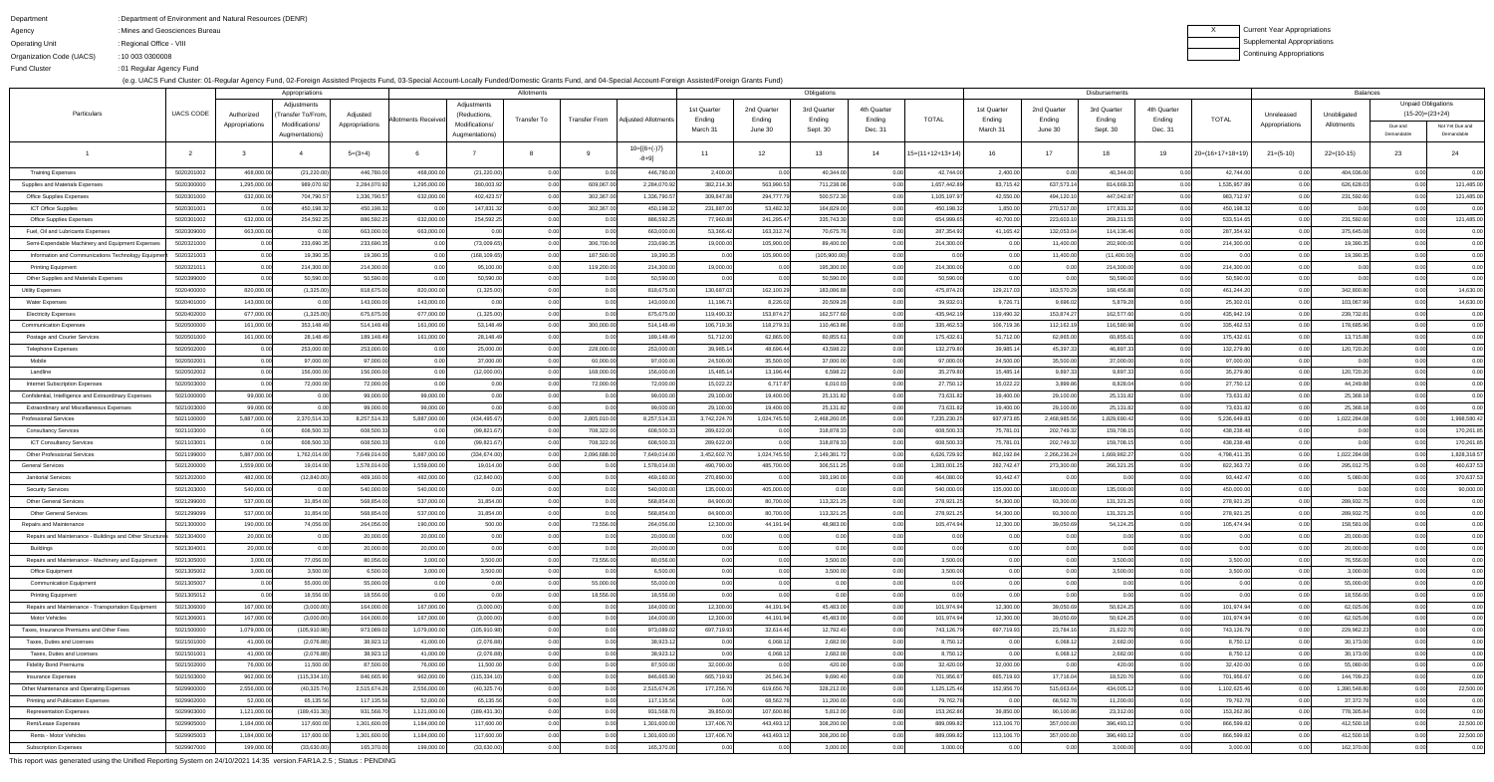Fund Cluster

### DepartmentAgencyOperating Unit Organization Code (UACS)Department of Environment and Natural Resources (DENR):: Mines and Geosciences Bureau : Regional Office - VIII 10 003 0300008:

01 Regular Agency Fund:

(e.g. UACS Fund Cluster: 01-Regular Agency Fund, 02-Foreign Assisted Projects Fund, 03-Special Account-Locally Funded/Domestic Grants Fund, and 04-Special Account-Foreign Assisted/Foreign Grants Fund)

XCurrent Year Appropriations Supplemental AppropriationsContinuing Appropriations

| Appropriations                                                 |                          |                          |                                    |                        |                          |                                | Allotments   |                      |                            | Obligations            |                        |                    |              |                          |                        |                      | <b>Disbursements</b>     |              |                          | <b>Balances</b> |                           |                           |                               |
|----------------------------------------------------------------|--------------------------|--------------------------|------------------------------------|------------------------|--------------------------|--------------------------------|--------------|----------------------|----------------------------|------------------------|------------------------|--------------------|--------------|--------------------------|------------------------|----------------------|--------------------------|--------------|--------------------------|-----------------|---------------------------|---------------------------|-------------------------------|
|                                                                |                          |                          | Adjustments                        |                        |                          | Adjustments                    |              |                      |                            | 1st Quarter            | 2nd Quarter            | 3rd Quarter        | 4th Quarter  |                          | 1st Quarter            | 2nd Quarter          | 3rd Quarter              | 4th Quarter  |                          |                 |                           | <b>Unpaid Obligations</b> |                               |
| Particulars                                                    | <b>UACS CODE</b>         | Authorized               | Transfer To/From<br>Modifications/ | Adjusted               | Allotments Receive       | (Reductions,<br>Modifications/ | Transfer To  | <b>Transfer From</b> | <b>Adiusted Allotments</b> | Ending                 | Ending                 | Ending             | Ending       | <b>TOTAL</b>             | Ending                 | Ending               | Ending                   | Ending       | <b>TOTAL</b>             | Unreleased      | Unobligated<br>Allotments | $(15-20)=(23+24)$         |                               |
|                                                                |                          | Appropriations           | Augmentations)                     | Appropriations         |                          | Augmentations)                 |              |                      |                            | March 31               | June 30                | Sept. 30           | Dec. 31      |                          | March 31               | June 30              | Sept. 30                 | Dec. 31      |                          | Appropriations  |                           | Due and<br>Demandable     | Not Yet Due and<br>Demandable |
|                                                                |                          |                          |                                    | $5=(3+4)$              |                          |                                |              |                      | $10=[6+(-)7]$<br>-8+9]     | 11                     | 12                     | 13 <sup>1</sup>    | 14           | $15=(11+12+13+14)$       | 16.                    | 17                   | -18                      | 19           | $20=(16+17+18+19)$       | $21 = (5-10)$   | $22=(10-15)$              | 23                        | 24                            |
| <b>Training Expenses</b>                                       | 5020201002               | 468,000.00               | (21, 220.00)                       | 446,780.0              | 468,000.00               | (21, 220.00)                   | 0.00         | 0.00                 | 446,780.00                 | 2,400.00               | 0.00                   | 40,344.00          | 0.00         | 42,744.00                | 2,400.00               | 0.00                 | 40,344.00                | 0.00         | 42,744.00                | 0.00            | 404,036.00                | 0.00                      | 0.00                          |
| Supplies and Materials Expenses                                | 5020300000               | 1,295,000.00             | 989,070.92                         | 2,284,070.92           | 1,295,000.00             | 380,003.92                     | 0.00         | 609,067.00           | 2,284,070.92               | 382,214.30             | 563,990.53             | 711,238.06         | 0.OO         | 1,657,442.89             | 83,715.42              | 637,573.1            | 814,669.33               | 0.00         | 1,535,957.89             | 0.00            | 626,628.03                | 0.00                      | 121,485.00                    |
| Office Supplies Expenses                                       | 5020301000               | 632,000.00               | 704,790.5                          | 1,336,790.5            | 632,000.00               | 402,423.57                     | 0.00         | 302,367.00           | 1,336,790.57               | 309,847.8              | 294,777.79             | 500,572.30         |              | 1,105,197.97             | 42,550.00              | 494,120.1            | 447,042.87               | 0.00         | 983,712.97               | 0.00            | 231,592.60                | 0.00                      | 121,485.00                    |
| <b>ICT Office Supplies</b>                                     | 5020301001               | 0.00                     | 450,198.32                         | 450,198.32             | 0.00                     | 147,831.32                     | 0.00         | 302,367.00           | 450,198.32                 | 231,887.0              | 53,482.32              | 164,829.00         |              | 450,198.32               | 1,850.00               | 270,517.0            | 177,831.32               | 0.00         | 450,198.32               | 0.00            | 0.00                      | 0.00                      | 0.00                          |
| <b>Office Supplies Expenses</b>                                | 5020301002               | 632,000.00               | 254,592.2                          | 886,592.2              | 632,000.00               | 254,592.25                     | 0.00         | 0.00                 | 886,592.25                 | 77,960.8               | 241,295.47             | 335,743.30         | 0.OO         | 654,999.65               | 40,700.00              | 223,603.1            | 269,211.55               | 0.00         | 533,514.65               | 0.00            | 231,592.60                | 0.00                      | 121,485.00                    |
| Fuel, Oil and Lubricants Expenses                              | 5020309000               | 663,000.00               |                                    | 663,000.0              | 663,000.00               | 0.00                           | 0.00         | 0.00                 | 663,000.00                 | 53,366.42              | 163,312.74             | 70,675.76          | 0.OO         | 287,354.92               | 41,165.42              | 132,053.0            | 114,136.46               | 0.00         | 287,354.92               | 0.00            | 375,645.08                | 0.00                      | 0.00                          |
| Semi-Expendable Machinery and Equipment Expenses               | 5020321000               | 0.00                     | 233,690.3                          | 233,690.3              | 0.00                     | (73,009.65)                    | 0.00         | 306,700.00           | 233,690.35                 | 19,000.00              | 105,900.00             | 89,400.00          | 0.OO         | 214,300.00               | 0.00 <sub>l</sub>      | 11,400.0             | 202,900.00               | 0.00         | 214,300.00               | 0.00            | 19,390.35                 | 0.00                      | 0.00                          |
| Information and Communications Technology Equipmen             | 5020321003               | 0.00                     | 19,390.3                           | 19,390.3               | 0.00                     | (168, 109.65)                  | 0.00         | 187,500.00           | 19,390.35                  | 0.00                   | 105,900.00             | (105,900.00)       | n nn         |                          |                        | 11,400.0             | (11,400.00)              | 0.00         | 0.00                     | 0.00            | 19,390.35                 | 0.00                      | 0.00                          |
| <b>Printing Equipment</b>                                      | 5020321011               | 0.00                     | 214,300.0                          | 214,300.0              | 0.00                     | 95,100.00                      | 0.00         | 119,200.00           | 214,300.00                 | 19,000.00              | 0.00                   | 195,300.00         | 0.00         | 214,300.00               | ი იი                   |                      | 214,300.00               | 0.00         | 214,300.00               | 0.00            | 0.00                      | 0.00                      | 0.00                          |
| Other Supplies and Materials Expenses                          | 5020399000               | 0.00                     | 50,590.0                           | 50,590.0               | 0.00                     | 50,590.00                      | 0.00         | 0.00                 | 50,590.00                  | 0.00                   | 0.00                   | 50,590.00          | 0.00         | 50,590.00                | 0.00                   |                      | 50,590.00                | 0.00         | 50,590.00                | 0.00            | 0.00                      | 0.00                      | 0.00                          |
| <b>Utility Expenses</b>                                        | 5020400000               | 820,000.00               | (1,325.00)                         | 818,675.0              | 820,000.00               | (1,325.00)                     | 0.00         | 0.00                 | 818,675.00                 | 130,687.03             | 162,100.29             | 183,086.88         | 0.001        | 475,874.20               | 129,217.03             | 163,570.2            | 168,456.88               | 0.00         | 461,244.20               | 0.00            | 342,800.80                | 0.00                      | 14,630.00                     |
| <b>Water Expenses</b>                                          | 5020401000               | 143,000.00               |                                    | 143,000.0              | 143,000.00               | 0.00                           | 0.00         | 0.00                 | 143,000.00                 | 11,196.7               | 8,226.02               | 20,509.28          |              | 39,932.0                 | 9,726.71               | 9,696.0              | 5,879.28                 | 0.00         | 25,302.01                | 0.00            | 103,067.99                | 0.00                      | 14,630.00                     |
| <b>Electricity Expenses</b>                                    | 5020402000               | 677,000.00               | (1,325.00)                         | 675,675.0              | 677,000.00               | (1,325.00)                     | 0.00         | 0.00                 | 675,675.00                 | 119,490.32             | 153,874.27             | 162,577.60         | 0.00         | 435,942.19               | 119,490.32             | 153,874.27           | 162,577.60               | 0.00         | 435,942.19               | 0.00            | 239,732.81                | 0.00                      | 0.00                          |
| <b>Communication Expenses</b>                                  | 5020500000               | 161,000.00               | 353,148.4                          | 514,148.49             | 161,000.00               | 53,148.49                      | 0.00         | 300,000.00           | 514,148.49                 | 106,719.3              | 118,279.31             | 110,463.86         |              | 335,462.53               | 106,719.36             | 112,162.1            | 116,580.98               | 0.00         | 335,462.53               | 0.00            | 178,685.96                |                           | 0.00                          |
| Postage and Courier Services                                   | 5020501000               | 161,000.00               | 28,148.4                           | 189,148.4              | 161,000.00               | 28,148.49                      | 0.00         | 0.00                 | 189,148.49                 | 51,712.00              | 62,865.00              | 60,855.61          | 0.00         | 175,432.61               | 51,712.00              | 62,865.0             | 60,855.61                | 0.00         | 175,432.61               | 0.00            | 13,715.88                 | 0.00                      | 0.00                          |
| <b>Telephone Expenses</b>                                      | 5020502000               | 0.00                     | 253,000.0                          | 253,000.0              | 0.00                     | 25,000.00                      | 0.00         | 228,000.00           | 253,000.00                 | 39,985.1               | 48,696.44              | 43,598.22          |              | 132,279.80               | 39,985.14              | 45,397.3             | 46,897.33                | 0.00         | 132,279.80               | 0.00            | 120,720.20                |                           | 0.00                          |
| Mobile                                                         | 5020502001               | 0.00                     | 97,000.0                           | 97,000.00              | 0.00                     | 37,000.00                      | 0.00         | 60,000.00            | 97,000.00                  | 24,500.00              | 35,500.00              | 37,000.00          | 0.00         | 97,000.00                | 24,500.00              | 35,500.00            | 37,000.00                | 0.00         | 97,000.00                | 0.00            | 0.00                      | 0.00                      | 0.00                          |
| Landline                                                       | 5020502002               | 0.00                     | 156,000.0                          | 156,000.0              | 0.00                     | (12,000.00)                    | 0.00         | 168,000.00           | 156,000.00                 | 15,485.1               | 13,196.44              | 6,598.22           | 0.00         | 35,279.80                | 15,485.14              | 9,897.3              | 9,897.33                 | 0.00         | 35,279.80                | 0.00            | 120,720.20                | 0.00                      | 0.00                          |
| <b>Internet Subscription Expenses</b>                          | 5020503000               | 0.00                     | 72,000.0                           | 72,000.0               | 0.00                     | 0.00                           | 0.00         | 72,000.00            | 72,000.00                  | 15,022.22              | 6,717.87               | 6,010.03           | 0.001        | 27,750.1                 | 15,022.22              | 3,899.8              | 8,828.04                 | 0.00         | 27,750.12                | 0.00            | 44,249.88                 | 0.00                      | 0.00                          |
| Confidential, Intelligence and Extraordinary Expenses          | 5021000000               | 99,000.00                |                                    | 99,000.C               | 99,000.00                | 0.00                           | 0.00         | 0.00                 | 99,000.00                  | 29,100.0               | 19,400.00              | 25,131.82          |              | 73,631.82                | 19,400.00              | 29,100.0             | 25,131.82                | 0.00         | 73,631.82                | 0.00            | 25,368.18                 | 0.00                      | 0.00                          |
| <b>Extraordinary and Miscellaneous Expenses</b>                | 5021003000               | 99,000.00                |                                    | 99,000.C               | 99,000.00                | 0.00                           | 0.00         | 0.00                 | 99,000.00                  | 29,100.00              | 19,400.00              | 25,131.82          | 0.00         | 73,631.82                | 19,400.00              | 29,100.0             | 25,131.82                | 0.00         | 73,631.82                | 0.00            | 25,368.18                 | 0.00                      | 0.00                          |
| <b>Professional Services</b>                                   | 5021100000               | 5,887,000.00             | 2,370,514.3                        | 8,257,514.33           | 5,887,000.00             | (434, 495.67)                  | 0.00         | 2,805,010.00         | 8,257,514.33               | 3,742,224.7            | 1,024,745.50           | 2,468,260.05       |              | 7,235,230.25             | 937,973.85             | 2,468,985.5          | 1,829,690.42             | 0.00         | 5,236,649.83             | 0.00            | 1,022,284.08              | 0.00                      | 1,998,580.42                  |
| <b>Consultancy Services</b>                                    | 5021103000               |                          | 608,500.3                          | 608,500.3              |                          | (99, 821.67)                   | 0.00         | 708,322.00           | 608,500.33                 | 289,622.0              | 0.00                   | 318,878.33         |              | 608,500.3                | 75,781.0               | 202,749.3            | 159,708.15               |              | 438,238.48               | 0.00            | 0.00                      |                           | 170,261.85                    |
| <b>ICT Consultancy Services</b>                                | 5021103001               | 0.00                     | 608,500.33                         | 608,500.33             | 0.00                     | (99, 821.67)                   | 0.00         | 708,322.00           | 608,500.33                 | 289,622.00             | 0.00                   | 318,878.33         | 0.00         | 608,500.33               | 75,781.01              | 202,749.32           | 159,708.15               | 0.00         | 438,238.48               | 0.00            | 0.00                      | 0.00                      | 170,261.85                    |
| <b>Other Professional Services</b>                             | 5021199000               | 5,887,000.00             | 1,762,014.00                       | 7,649,014.00           | 5,887,000.00             | (334, 674.00)                  | 0.00         | 2,096,688.00         | 7,649,014.00               | 3,452,602.7            | 1,024,745.50           | 2,149,381.72       | 0.00         | 6,626,729.92             | 862,192.84             | 2,266,236.2          | 1,669,982.27             | 0.00         | 4,798,411.35             | 0.00            | 1,022,284.08              | 0.00                      | 1,828,318.57                  |
| <b>General Services</b>                                        | 5021200000               | 1,559,000.00             | 19,014.00                          | 1,578,014.00           | 1,559,000.00             | 19,014.00                      | 0.00         | 0.00                 | 1,578,014.00               | 490,790.0              | 485,700.00             | 306,511.25         | 0.00         | 1,283,001.25             | 282,742.47             | 273,300.0            | 266,321.25               | 0.00         | 822,363.72               | 0.00            | 295,012.75                | 0.00                      | 460,637.53                    |
| <b>Janitorial Services</b>                                     | 5021202000               | 482,000.00               | (12, 840.00)                       | 469,160.0              | 482,000.00               | (12,840.00)                    | 0.00         | 0.00                 | 469,160.00                 | 270,890.00             | 0.00                   | 193,190.00         | 0.00         | 464,080.00               | 93,442.47              | 0.00                 | 0.00                     | 0.00         | 93,442.47                | 0.00            | 5,080.00                  | 0.00                      | 370,637.53                    |
| <b>Security Services</b>                                       | 5021203000<br>5021299000 | 540,000.00               | 0.00                               | 540,000.0<br>568,854.0 | 540,000.00               | 0.00                           | 0.00<br>0.00 | 0.00                 | 540,000.00<br>568,854.00   | 135,000.0              | 405,000.00             | 0.00<br>113,321.25 | 0.00         | 540,000.00               | 135,000.00             | 180,000.00           | 135,000.00               | 0.00         | 450,000.00               | 0.00<br>0.00    | 0.00                      | 0.00                      | 90,000.00                     |
| <b>Other General Services</b><br><b>Other General Services</b> | 5021299099               | 537,000.00<br>537,000.00 | 31,854.00<br>31,854.00             | 568,854.0              | 537,000.00<br>537,000.00 | 31,854.00<br>31,854.00         | 0.00         | 0.00<br>0.00         | 568,854.00                 | 84,900.00<br>84,900.00 | 80,700.00<br>80,700.00 | 113,321.25         | 0.00<br>0.00 | 278,921.25               | 54,300.00<br>54,300.00 | 93,300.0<br>93,300.0 | 131,321.25<br>131,321.25 | 0.00<br>0.00 | 278,921.25<br>278,921.25 | 0.00            | 289,932.75<br>289,932.75  | 0.00<br>0.00              | 0.00<br>0.00                  |
| Repairs and Maintenance                                        | 5021300000               | 190,000.00               | 74,056.0                           | 264,056.0              | 190,000.00               | 500.00                         | 0.00         | 73,556.00            | 264,056.00                 | 12,300.00              | 44,191.94              | 48,983.00          | 0.00         | 278,921.25<br>105,474.94 | 12,300.00              | 39,050.6             | 54,124.25                | 0.00         | 105,474.94               | 0.00            | 158,581.06                | 0.00                      | 0.00                          |
| Repairs and Maintenance - Buildings and Other Structures       | 5021304000               | 20,000.00                | 0.00                               | 20,000.0               | 20,000.00                | 0.00                           | 0.00         | 0.00                 | 20,000.00                  | 0.00                   | 0.00                   | 0.00               | 0.00         | 0.00                     | 0.00                   | 0.00                 | 0.00                     | 0.00         | 0.00                     | 0.00            | 20,000.00                 | 0.00                      | 0.00                          |
| Buildings                                                      | 5021304001               | 20,000.00                | _0.00l                             | 20,000.0               | 20,000.00                | 0.00                           | 0.00         | 0.00                 | 20,000.00                  | 0.00                   | 0.00                   | 0.00               | 0.00         | 0.00                     | 0.00                   | 0.00                 | 0.00                     | 0.00         | 0.00                     | 0.00            | 20,000.00                 | 0.00                      | 0.00                          |
| Repairs and Maintenance - Machinery and Equipmen               | 5021305000               | 3,000.00                 | 77,056.00                          | 80,056.00              | 3,000.00                 | 3,500.00                       | 0.00         | 73,556.00            | 80,056.00                  | 0.00                   | 0.00                   | 3,500.00           | 0.00         | 3,500.00                 | 0.00                   | 0.00                 | 3,500.00                 | 0.00         | 3,500.00                 | 0.00            | 76,556.00                 | 0.00                      | 0.00                          |
| Office Equipment                                               | 5021305002               | 3,000.00                 | 3,500.00                           | 6,500.00               | 3,000.00                 | 3,500.00                       | 0.00         | 0.00                 | 6,500.00                   | 0.00                   | 0.00                   | 3,500.00           | 0.00         | 3,500.00                 | 0.00                   | 0.00                 | 3,500.00                 | 0.00         | 3,500.00                 | 0.00            | 3,000.00                  | 0.00                      | 0.00                          |
| <b>Communication Equipment</b>                                 | 5021305007               | 0.00                     | 55,000.0                           | 55,000.0               | 0.00                     | 0.00                           | 0.00         | 55,000.00            | 55,000.00                  | 0.00                   | 0.00                   | 0.00               | 0.00         | 0.00                     | 0.00 <sub>l</sub>      | n or                 | 0.00                     | 0.00         | 0.00                     | 0.00            | 55,000.00                 | 0.00                      | 0.00                          |
| <b>Printing Equipment</b>                                      | 5021305012               | 0.00                     | 18,556.00                          | 18,556.00              | 0.00                     | 0.00                           | 0.00         | 18,556.00            | 18,556.00                  | 0.00                   | 0.00                   | 0.00               | 0.00         | 0.00                     | 0.00                   | 0.00                 | 0.00                     | 0.00         | 0.00                     | 0.00            | 18,556.00                 | 0.00                      | 0.00                          |
| Repairs and Maintenance - Transportation Equipment             | 5021306000               | 167,000.00               | (3,000.00)                         | 164,000.0              | 167,000.00               | (3,000.00)                     | 0.00         | 0.00                 | 164,000.00                 | 12,300.00              | 44,191.94              | 45,483.00          | 0.00         | 101,974.94               | 12,300.00              | 39,050.6             | 50,624.25                | 0.00         | 101,974.94               | 0.00            | 62,025.06                 | 0.00                      | 0.00                          |
| Motor Vehicles                                                 | 5021306001               | 167,000.00               | (3,000.00)                         | 164,000.0              | 167,000.00               | (3,000.00)                     | 0.00         | 0.00                 | 164,000.00                 | 12,300.00              | 44,191.94              | 45,483.00          | 0.00         | 101,974.94               | 12,300.00              | 39,050.6             | 50,624.25                | 0.00         | 101,974.94               | 0.00            | 62,025.06                 | 0.00                      | 0.00                          |
| Taxes, Insurance Premiums and Other Fees                       | 5021500000               | 1,079,000.00             | (105, 910.98)                      | 973,089.0              | 1,079,000.00             | (105, 910.98)                  | 0.00         | 0.00                 | 973,089.02                 | 697,719.93             | 32,614.46              | 12,792.40          | 0.00         | 743,126.79               | 697,719.93             | 23,784.1             | 21,622.70                | 0.00         | 743,126.79               | 0.00            | 229,962.23                | 0.00                      | 0.00                          |
| Taxes, Duties and Licenses                                     | 5021501000               | 41,000.00                | (2,076.88)                         | 38,923.12              | 41,000.00                | (2,076.88)                     | 0.00         | 0.00                 | 38,923.12                  | 0.00                   | 6,068.12               | 2,682.00           | 0.00         | 8,750.12                 | 0.00                   | 6,068.12             | 2,682.00                 | 0.00         | 8,750.12                 | 0.00            | 30,173.00                 | 0.00                      | 0.00                          |
| Taxes, Duties and Licenses                                     | 5021501001               | 41,000.00                | (2,076.88)                         | 38,923.1               | 41,000.00                | (2,076.88)                     | 0.00         | 0.00                 | 38,923.12                  | 0.00                   | 6,068.12               | 2,682.00           | 0.00         | 8,750.1                  | 0.00                   | 6,068.1              | 2,682.00                 | 0.00         | 8,750.12                 | 0.00            | 30,173.00                 | 0.00                      | 0.00                          |
| <b>Fidelity Bond Premiums</b>                                  | 5021502000               | 76,000.00                | 11,500.00                          | 87,500.00              | 76,000.00                | 11,500.00                      | 0.00         | 0.00                 | 87,500.00                  | 32,000.00              | 0.00                   | 420.00             | 0.00         | 32,420.00                | 32,000.00              | 0.00                 | 420.00                   | 0.00         | 32,420.00                | 0.00            | 55,080.00                 | 0.00                      | 0.00                          |
| Insurance Expenses                                             | 5021503000               | 962,000.00               | (115, 334.10)                      | 846,665.9              | 962,000.00               | (115, 334.10)                  | 0.00         | 0.00                 | 846,665.90                 | 665,719.93             | 26,546.34              | 9,690.40           | 0.00         | 701,956.67               | 665,719.93             | 17,716.04            | 18,520.70                | 0.00         | 701,956.67               | 0.00            | 144,709.23                | 0.00                      | 0.00                          |
| Other Maintenance and Operating Expenses                       | 5029900000               | 2,556,000.00             | (40, 325.74)                       | 2,515,674.26           | 2,556,000.00             | (40, 325.74)                   | 0.00         | 0.00                 | 2,515,674.26               | 177,256.70             | 619,656.76             | 328,212.00         | 0.00         | 1,125,125.46             | 152,956.70             | 515,663.64           | 434,005.12               | 0.00         | 1,102,625.46             | 0.00            | 1,390,548.80              | 0.00                      | 22,500.00                     |
| Printing and Publication Expenses                              | 5029902000               | 52,000.00                | 65,135.5                           | 117,135.56             | 52,000.00                | 65,135.56                      | 0.00         | 0.00                 | 117,135.56                 | 0.00                   | 68,562.78              | 11,200.00          | 0.00         | 79,762.78                | 0.00                   | 68,562.7             | 11,200.00                | 0.00         | 79,762.78                | 0.00            | 37,372.78                 | 0.00                      | 0.00                          |
| <b>Representation Expenses</b>                                 | 5029903000               | 1,121,000.00             | (189, 431.30)                      | 931,568.7              | 1,121,000.00             | (189, 431.30)                  | 0.00         | 0.00                 | 931,568.70                 | 39,850.00              | 107,600.86             | 5,812.00           | 0.00         | 153,262.86               | 39,850.00              | 90,100.86            | 23,312.00                | 0.00         | 153,262.86               | 0.00            | 778,305.84                | 0.00                      | 0.00                          |
| Rent/Lease Expenses                                            | 5029905000               | 1,184,000.00             | 117,600.0                          | 1,301,600.0            | 1,184,000.00             | 117,600.00                     | 0.00         | 0.00                 | 1,301,600.00               | 137,406.7              | 443,493.12             | 308,200.00         | 0.00         | 889,099.82               | 113,106.70             | 357,000.0            | 396,493.12               | 0.00         | 866,599.82               | 0.00            | 412,500.18                | 0.00                      | 22,500.00                     |
| Rents - Motor Vehicles                                         | 5029905003               | 1,184,000.00             | 117,600.0                          | 1,301,600.0            | 1,184,000.00             | 117,600.00                     | 0.00         | 0.00                 | 1,301,600.00               | 137,406.70             | 443,493.12             | 308,200.00         | 0.00         | 889,099.82               | 113,106.70             | 357,000.0            | 396,493.12               | 0.00         | 866,599.82               | 0.00            | 412,500.18                | 0.00                      | 22,500.00                     |
| <b>Subscription Expenses</b>                                   | 5029907000               | 199,000.00               | (33,630.00)                        | 165,370.0              | 199,000.00               | (33,630.00)                    | 0.00         | 0.00                 | 165,370.00                 | 0.00                   | 0.00                   | 3,000.00           | 0.00         | 3,000.00                 | 0.00                   | 0.0                  | 3,000.00                 | 0.00         | 3,000.00                 | 0.00            | 162,370.00                | 0.00                      | 0.00                          |

This report was generated using the Unified Reporting System on 24/10/2021 14:35 version.FAR1A.2.5 ; Status : PENDING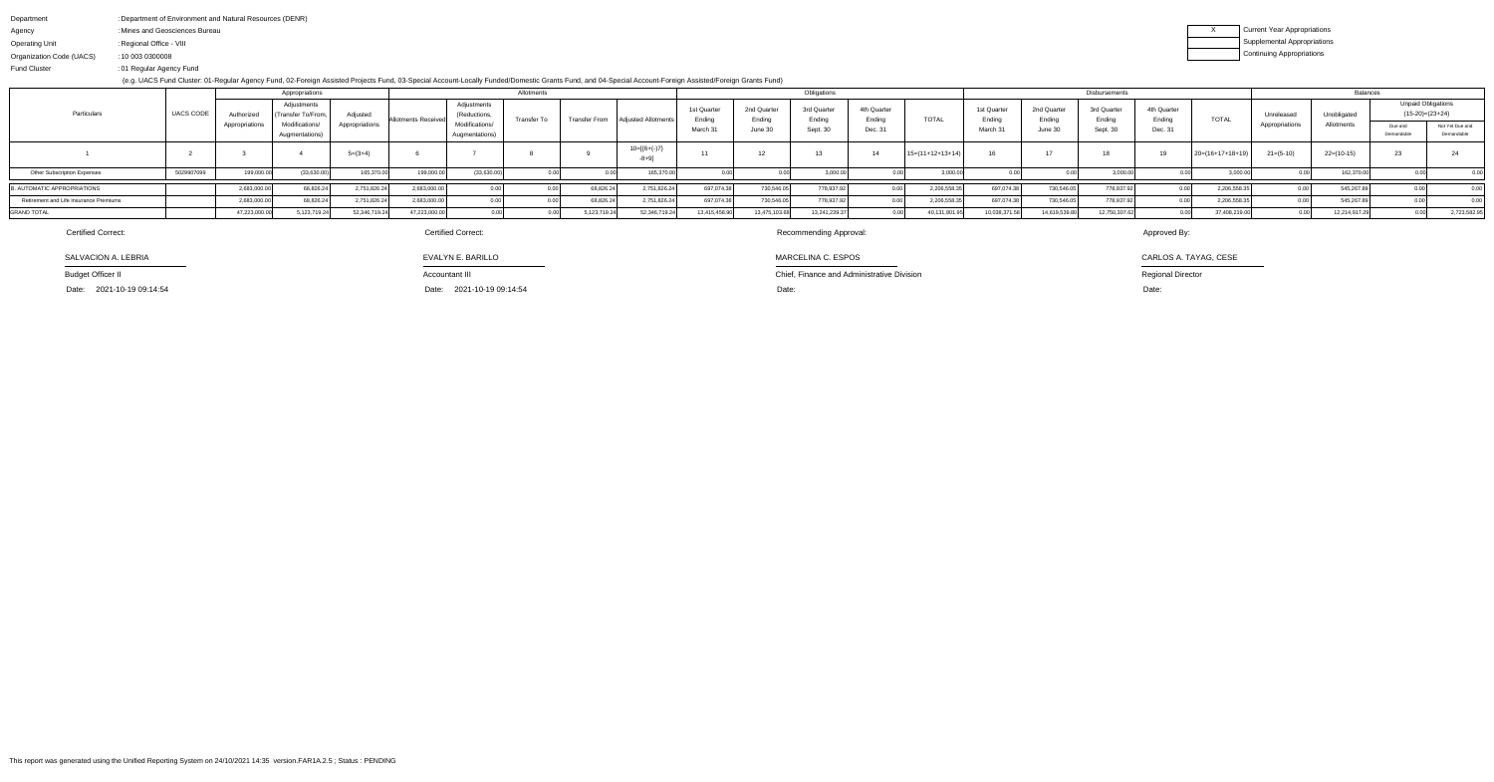|                                        |                  |                              | Appropriations                                                             |                            |                            | Allotments                                                      |                       |               |                             |                                   |                                  | Obligations                       |                                  |                    | Disbursements                    |                                  |                                   |                                  |                    |                              | Balances                  |                                                                         |                               |  |
|----------------------------------------|------------------|------------------------------|----------------------------------------------------------------------------|----------------------------|----------------------------|-----------------------------------------------------------------|-----------------------|---------------|-----------------------------|-----------------------------------|----------------------------------|-----------------------------------|----------------------------------|--------------------|----------------------------------|----------------------------------|-----------------------------------|----------------------------------|--------------------|------------------------------|---------------------------|-------------------------------------------------------------------------|-------------------------------|--|
| Particulars                            | <b>UACS CODE</b> | Authorized<br>Appropriations | Adiustments<br><b>Fransfer To/From</b><br>Modifications/<br>Augmentations) | Adiusted<br>Appropriations | <b>Allotments Received</b> | Adjustments<br>(Reductions,<br>Modifications/<br>Augmentations) | Transfer <sup>⊤</sup> | Transfer From | <b>LAdiusted Allotment</b>  | 1st Quarter<br>Ending<br>March 31 | 2nd Quarter<br>Ending<br>June 30 | 3rd Quarter<br>nding:<br>Sept. 30 | 4th Quarter<br>Ending<br>Dec. 31 | <b>TOTAL</b>       | 1st Quarter<br>Ending<br>March : | 2nd Quarter<br>Ending<br>June 30 | 3rd Quarter<br>Ending<br>Sept. 30 | 4th Quarter<br>Ending<br>Dec. 31 | <b>TOTAL</b>       | Unreleased<br>Appropriations | Unobligated<br>Allotments | <b>Unpaid Obligations</b><br>$(15-20)=(23+24)$<br>Due and<br>Demandable | Not Yet Due and<br>Demandable |  |
|                                        |                  |                              |                                                                            | $5=(3+4)$                  |                            |                                                                 |                       |               | $10=[6+(-)7]$<br>$-8 + 9$ ] |                                   | 10                               |                                   |                                  | $15=(11+12+13+14)$ |                                  |                                  |                                   |                                  | $20=(16+17+18+19)$ | $21=(5-10)$                  | $22=(10-15)$              | 23                                                                      |                               |  |
| <b>Other Subscription Expenses</b>     | 5029907099       | 199,000.00                   | (33,630.00)                                                                | 165,370.00                 | 199,000.00                 | (33,630.00)                                                     |                       |               | 165,370.0                   |                                   |                                  | 3,000.0                           |                                  | 3,000.0            |                                  |                                  | 3,000.00                          |                                  | 3,000.00           |                              | 162,370.                  |                                                                         |                               |  |
| <b>B. AUTOMATIC APPROPRIATIONS</b>     |                  | 2,683,000.00                 | 68,826.24                                                                  | 2,751,826.24               | 2,683,000.00               |                                                                 |                       | 68,826.24     | 2,751,826.24                | 697,074.38                        | 730,546.                         | 778,937.9                         |                                  | 2,206,558          | 697,074.38                       | 730,546.0                        | 778,937.9                         |                                  | 2,206,558.3        |                              | 545,267.8                 |                                                                         |                               |  |
| Retirement and Life Insurance Premiums |                  | 2,683,000.00                 | 68,826.24                                                                  | 2,751,826.24               | 2,683,000.00               |                                                                 |                       | 68,826.24     | 2,751,826.24                | 697,074.38                        | 730,546.05                       | 778,937.92                        |                                  | 2,206,558.3        | 697,074.38                       | 730,546.0                        | 778,937.92                        |                                  | 2,206,558.35       |                              | 545,267.8                 |                                                                         |                               |  |
| <b>GRAND TOTAL</b>                     |                  | 47,223,000.                  | 5,123,719.24                                                               | 52,346,719.24              | 47,223,000.00              |                                                                 |                       | 5,123,719.24  | 52,346,719.24               | 13,415,458.90                     | 13,475,103                       | 13,241,239.                       |                                  | 40,131,801.        | 10,038,371.                      | 14,619,539.80                    | 12,750,307.62                     |                                  | 37,408,219.0       | 0.0                          | 12,214,917.2              |                                                                         | 2,723,582.95                  |  |

(e.g. UACS Fund Cluster: 01-Regular Agency Fund, 02-Foreign Assisted Projects Fund, 03-Special Account-Locally Funded/Domestic Grants Fund, and 04-Special Account-Foreign Assisted/Foreign Grants Fund)

XCurrent Year AppropriationsSupplemental AppropriationsContinuing Appropriations

SALVACION A. LEBRIA

Budget Officer II

Date: 2021-10-19 09:14:54

Certified Correct:

Chief, Finance and Administrative Division

MARCELINA C. ESPOS

Recommending Approval:

Approved By:

CARLOS A. TAYAG, CESE

Regional Director

Certified Correct:

 Date: Date: Date:2021-10-19 09:14:54

Accountant III

EVALYN E. BARILLO